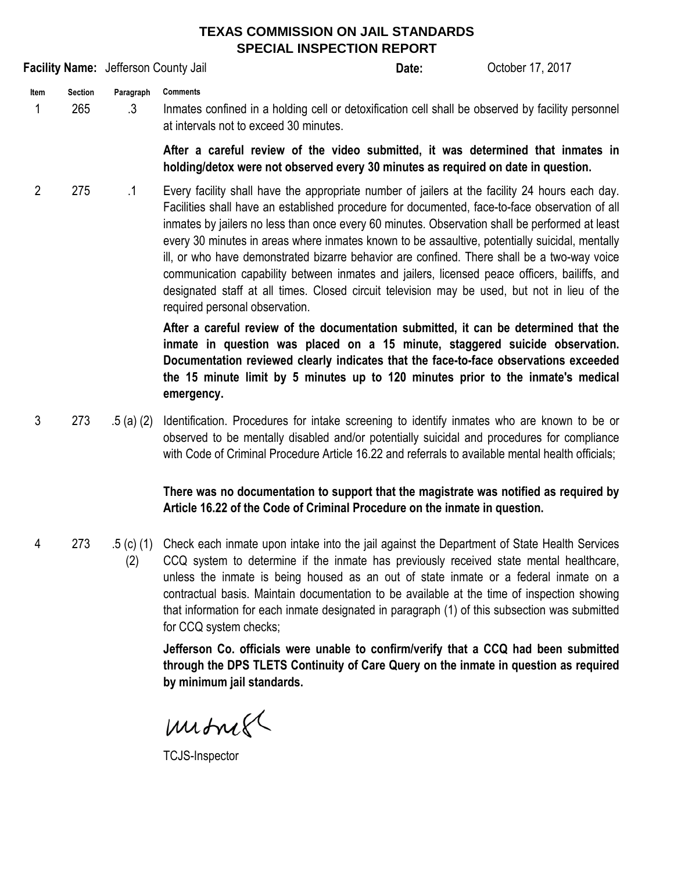## **TEXAS COMMISSION ON JAIL STANDARDS SPECIAL INSPECTION REPORT**

**Date: Item Section Paragraph** 1 265 .3 **Comments** Inmates confined in a holding cell or detoxification cell shall be observed by facility personnel **Facility Name:** Jefferson County Jail **Communist Communist Control Control Control Control Control Control Control County Jail Control Communist Control Control County Jail Control County Jail Control County Jail Control** 

at intervals not to exceed 30 minutes.

**After a careful review of the video submitted, it was determined that inmates in holding/detox were not observed every 30 minutes as required on date in question.**

2 275 .1 Every facility shall have the appropriate number of jailers at the facility 24 hours each day. Facilities shall have an established procedure for documented, face-to-face observation of all inmates by jailers no less than once every 60 minutes. Observation shall be performed at least every 30 minutes in areas where inmates known to be assaultive, potentially suicidal, mentally ill, or who have demonstrated bizarre behavior are confined. There shall be a two-way voice communication capability between inmates and jailers, licensed peace officers, bailiffs, and designated staff at all times. Closed circuit television may be used, but not in lieu of the required personal observation.

> **After a careful review of the documentation submitted, it can be determined that the inmate in question was placed on a 15 minute, staggered suicide observation. Documentation reviewed clearly indicates that the face-to-face observations exceeded the 15 minute limit by 5 minutes up to 120 minutes prior to the inmate's medical emergency.**

3 273 .5 (a) (2) Identification. Procedures for intake screening to identify inmates who are known to be or observed to be mentally disabled and/or potentially suicidal and procedures for compliance with Code of Criminal Procedure Article 16.22 and referrals to available mental health officials;

> **There was no documentation to support that the magistrate was notified as required by Article 16.22 of the Code of Criminal Procedure on the inmate in question.**

4 273 .5 (c) (1) Check each inmate upon intake into the jail against the Department of State Health Services (2) CCQ system to determine if the inmate has previously received state mental healthcare, unless the inmate is being housed as an out of state inmate or a federal inmate on a contractual basis. Maintain documentation to be available at the time of inspection showing that information for each inmate designated in paragraph (1) of this subsection was submitted for CCQ system checks;

> **Jefferson Co. officials were unable to confirm/verify that a CCQ had been submitted through the DPS TLETS Continuity of Care Query on the inmate in question as required by minimum jail standards.**

mitmet

TCJS-Inspector